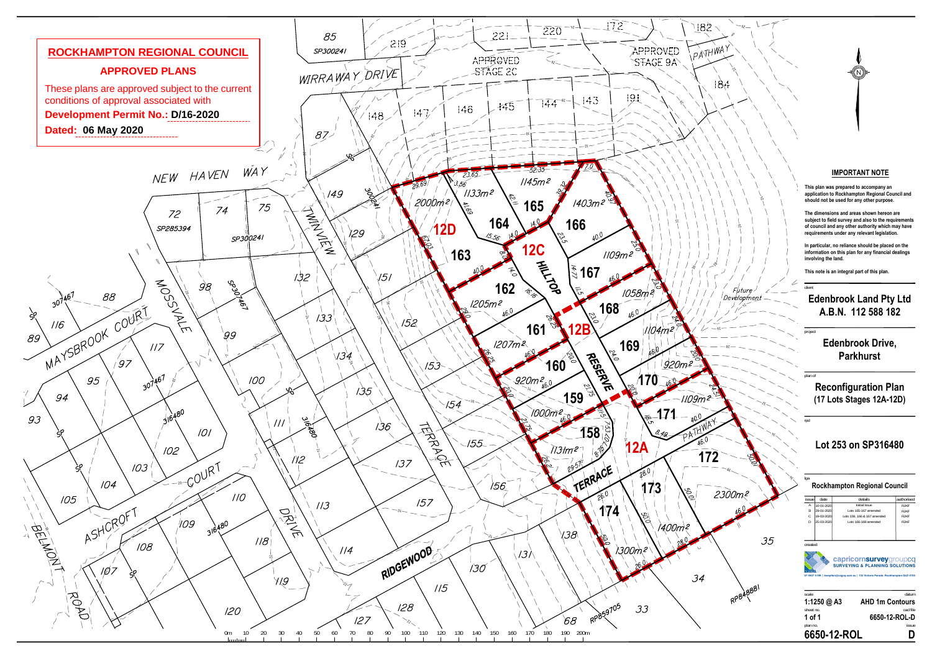client

# **Edenbrook Land Pty Ltd A.B.N. 112 588 182**

project

## **Edenbrook Drive, Parkhurst**

**The dimensions and areas shown hereon are subject to field survey and also to the requirements of council and any other authority which may have** requirements under any relevant legislatio

plan of

lga

### **Rockhampton Regional Council**

rpd

### **IMPORTANT NOTE**

**This plan was prepared to accompany an application to Rockhampton Regional Council and should not be used for any other purpose.**

**In particular, no reliance should be placed on the information on this plan for any financial dealings involving the land.**

| 6650-12-ROL                                                                                                                                                         |            |                             |             |  |  |  |
|---------------------------------------------------------------------------------------------------------------------------------------------------------------------|------------|-----------------------------|-------------|--|--|--|
| plan no.                                                                                                                                                            | issue      |                             |             |  |  |  |
| 1 of 1                                                                                                                                                              |            | 6650-12-ROL-D               |             |  |  |  |
| sheet no.                                                                                                                                                           |            |                             | cad file    |  |  |  |
|                                                                                                                                                                     |            |                             |             |  |  |  |
| <b>AHD 1m Contours</b><br>1:1250 @ A3                                                                                                                               |            |                             |             |  |  |  |
| scale                                                                                                                                                               |            |                             | datum       |  |  |  |
| created<br>capricornsurveygroupcq<br><b>SURVEYING &amp; PLANNING SOLUTIONS</b><br>07 4927 5199   reception@csgcq.com.au   132 Victoria Parade, Rockhampton QLD 4700 |            |                             |             |  |  |  |
|                                                                                                                                                                     |            |                             |             |  |  |  |
|                                                                                                                                                                     |            |                             |             |  |  |  |
| D                                                                                                                                                                   | 25-03-2020 | Lots 166-168 amended        | <b>RIKF</b> |  |  |  |
| Ċ                                                                                                                                                                   | 19-03-2020 | Lots 158, 166 & 167 amended | <b>RIKF</b> |  |  |  |
| B                                                                                                                                                                   | 29-01-2020 | Lots 165-167 amended        | <b>RIKF</b> |  |  |  |
| Α                                                                                                                                                                   | 10-01-2020 | <b>Initial Issue</b>        | <b>RIKF</b> |  |  |  |
| <i>issue</i>                                                                                                                                                        | date       | details                     | authorised  |  |  |  |

**This note is an integral part of this plan.**

**Reconfiguration Plan (17 Lots Stages 12A-12D)**

**Lot 253 on SP316480**



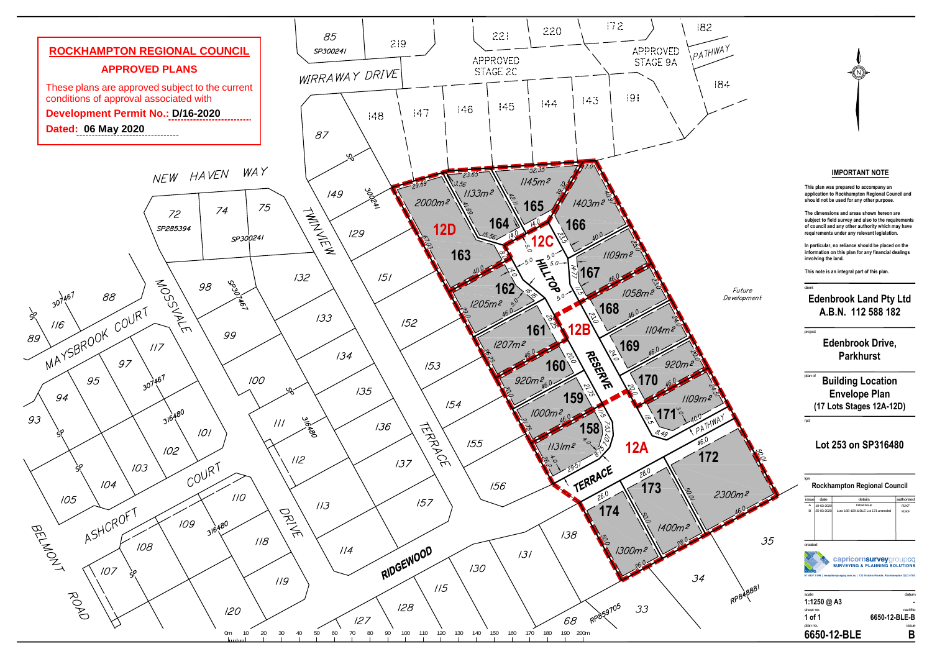#### client

### **Edenbrook Land Pty Ltd A.B.N. 112 588 182**

plan no. issue  $\pmb B$ **6650-12-BLE-B**

project

# **Edenbrook Drive, Parkhurst**

**1 of 1**

**6650-12-BLE B**

**The dimensions and areas shown hereon are subject to field survey and also to the requirements of council and any other authority which may have** requirements under any relevant legislation.

lga

### **Rockhampton Regional Council**

rpd

### **IMPORTANT NOTE**

**This plan was prepared to accompany an application to Rockhampton Regional Council and should not be used for any other purpose.**

plan of **Building Location Envelope Plan (17 Lots Stages 12A-12D)**

| issuel                                                                                                                                                   | date        | details                            | authorised  |  |  |
|----------------------------------------------------------------------------------------------------------------------------------------------------------|-------------|------------------------------------|-------------|--|--|
| Α                                                                                                                                                        | 19-03-2020  | <b>Initial Issue</b>               | <b>RJKF</b> |  |  |
| B                                                                                                                                                        | 25-03-2020  | Lots 166-168 & BLE Lot 171 amended | <b>RJKF</b> |  |  |
|                                                                                                                                                          |             |                                    |             |  |  |
|                                                                                                                                                          |             |                                    |             |  |  |
|                                                                                                                                                          |             |                                    |             |  |  |
|                                                                                                                                                          |             |                                    |             |  |  |
|                                                                                                                                                          |             |                                    |             |  |  |
| created                                                                                                                                                  |             |                                    |             |  |  |
| capricornsurveygroupcq<br><b>SURVEYING &amp; PLANNING SOLUTIONS</b><br>07 4927 5199   reception@csgcq.com.au   132 Victoria Parade, Rockhampton QLD 4700 |             |                                    |             |  |  |
| scale                                                                                                                                                    |             |                                    | datum       |  |  |
|                                                                                                                                                          | 1:1250 @ A3 |                                    |             |  |  |
| sheet no.                                                                                                                                                |             |                                    | cad file    |  |  |

**In particular, no reliance should be placed on the information on this plan for any financial dealings involving the land.**

**This note is an integral part of this plan.**

# **Lot 253 on SP316480**